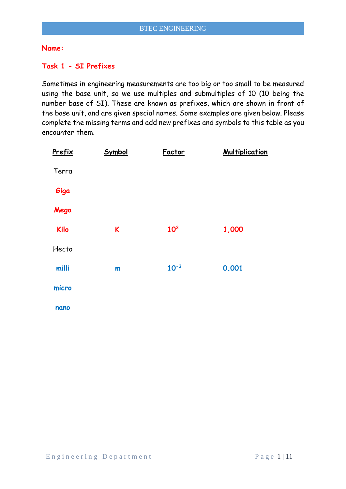#### **Name:**

### **Task 1 - SI Prefixes**

Sometimes in engineering measurements are too big or too small to be measured using the base unit, so we use multiples and submultiples of 10 (10 being the number base of SI). These are known as prefixes, which are shown in front of the base unit, and are given special names. Some examples are given below. Please complete the missing terms and add new prefixes and symbols to this table as you encounter them.

| Prefix      | Symbol | Factor          | <b>Multiplication</b> |
|-------------|--------|-----------------|-----------------------|
| Terra       |        |                 |                       |
| Giga        |        |                 |                       |
| Mega        |        |                 |                       |
| <b>Kilo</b> | K      | 10 <sup>3</sup> | 1,000                 |
| Hecto       |        |                 |                       |
| milli       | m      | $10^{-3}$       | 0.001                 |
| micro       |        |                 |                       |
| nano        |        |                 |                       |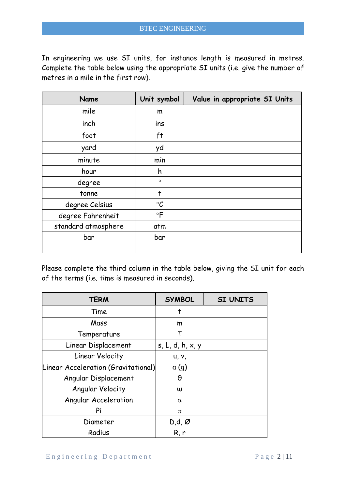In engineering we use SI units, for instance length is measured in metres. Complete the table below using the appropriate SI units (i.e. give the number of metres in a mile in the first row).

| Name                | Unit symbol     | Value in appropriate SI Units |
|---------------------|-----------------|-------------------------------|
| mile                | m               |                               |
| inch                | ins             |                               |
| foot                | ft              |                               |
| yard                | yd              |                               |
| minute              | min             |                               |
| hour                | h               |                               |
| degree              | $\circ$         |                               |
| tonne               | t               |                               |
| degree Celsius      | $\rm ^{\circ}C$ |                               |
| degree Fahrenheit   | $\circ$ F       |                               |
| standard atmosphere | atm             |                               |
| bar                 | bar             |                               |
|                     |                 |                               |

Please complete the third column in the table below, giving the SI unit for each of the terms (i.e. time is measured in seconds).

| <b>TERM</b>                         | <b>SYMBOL</b>         | <b>SI UNITS</b> |
|-------------------------------------|-----------------------|-----------------|
| Time                                | t                     |                 |
| Mass                                | m                     |                 |
| Temperature                         |                       |                 |
| Linear Displacement                 | s, L, d, h, x, y      |                 |
| Linear Velocity                     | <b>u</b> , <b>v</b> , |                 |
| Linear Acceleration (Gravitational) | a(g)                  |                 |
| Angular Displacement                | θ                     |                 |
| Angular Velocity                    | $\omega$              |                 |
| Angular Acceleration                | $\alpha$              |                 |
| Pi                                  | π                     |                 |
| Diameter                            | $D,d,\emptyset$       |                 |
| Radius                              | R, r                  |                 |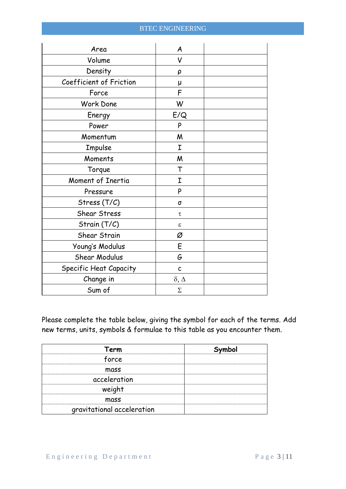| Area                    | A               |  |
|-------------------------|-----------------|--|
| Volume                  | V               |  |
| Density                 | ρ               |  |
| Coefficient of Friction | μ               |  |
| Force                   | F               |  |
| Work Done               | W               |  |
| Energy                  | E/Q             |  |
| Power                   | P               |  |
| Momentum                | M               |  |
| Impulse                 | I               |  |
| Moments                 | M               |  |
| Torque                  | Т               |  |
| Moment of Inertia       | I               |  |
| Pressure                | P               |  |
| Stress (T/C)            | $\sigma$        |  |
| Shear Stress            | τ               |  |
| Strain $(T/C)$          | ε               |  |
| Shear Strain            | Ø               |  |
| Young's Modulus         | E               |  |
| Shear Modulus           | G               |  |
| Specific Heat Capacity  | $\mathsf{C}$    |  |
| Change in               | $\delta,\Delta$ |  |
| Sum of                  | $\Sigma$        |  |

Please complete the table below, giving the symbol for each of the terms. Add new terms, units, symbols & formulae to this table as you encounter them.

| Term<br>                   | Symbol |
|----------------------------|--------|
| force                      |        |
| mass                       |        |
| acceleration               |        |
| weight<br>                 |        |
| mass                       |        |
| gravitational acceleration |        |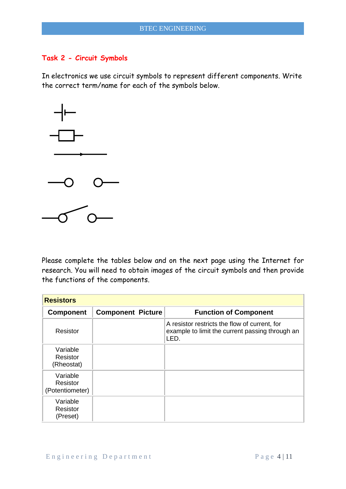### **Task 2 - Circuit Symbols**

In electronics we use circuit symbols to represent different components. Write the correct term/name for each of the symbols below.



Please complete the tables below and on the next page using the Internet for research. You will need to obtain images of the circuit symbols and then provide the functions of the components.

| <b>Resistors</b>                        |                          |                                                                                                          |
|-----------------------------------------|--------------------------|----------------------------------------------------------------------------------------------------------|
| <b>Component</b>                        | <b>Component Picture</b> | <b>Function of Component</b>                                                                             |
| Resistor                                |                          | A resistor restricts the flow of current, for<br>example to limit the current passing through an<br>LED. |
| Variable<br>Resistor<br>(Rheostat)      |                          |                                                                                                          |
| Variable<br>Resistor<br>(Potentiometer) |                          |                                                                                                          |
| Variable<br>Resistor<br>(Preset)        |                          |                                                                                                          |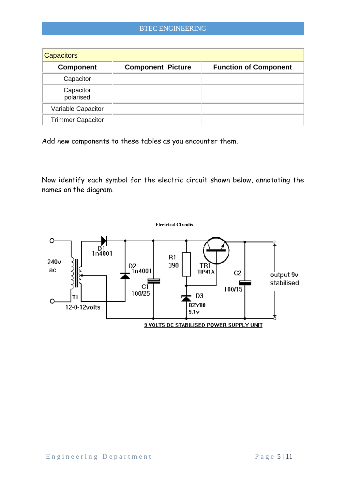| <b>Capacitors</b>        |                          |                              |  |
|--------------------------|--------------------------|------------------------------|--|
| <b>Component</b>         | <b>Component Picture</b> | <b>Function of Component</b> |  |
| Capacitor                |                          |                              |  |
| Capacitor<br>polarised   |                          |                              |  |
| Variable Capacitor       |                          |                              |  |
| <b>Trimmer Capacitor</b> |                          |                              |  |

Add new components to these tables as you encounter them.

Now identify each symbol for the electric circuit shown below, annotating the names on the diagram.

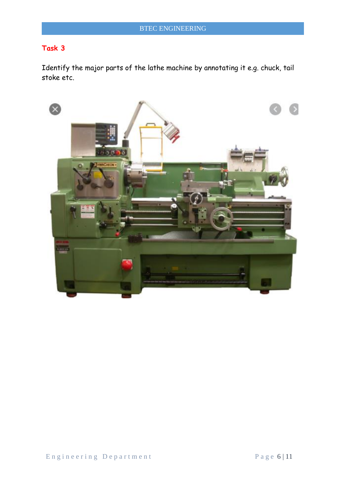Identify the major parts of the lathe machine by annotating it e.g. chuck, tail stoke etc.

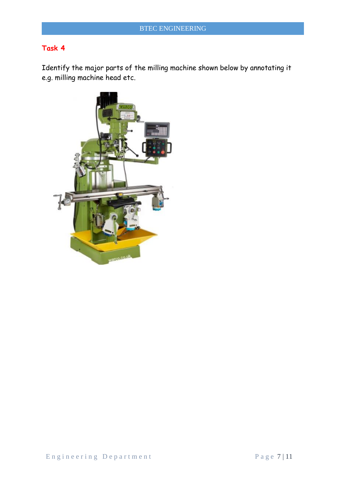Identify the major parts of the milling machine shown below by annotating it e.g. milling machine head etc.

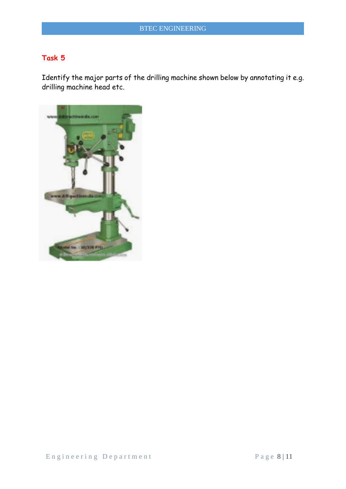Identify the major parts of the drilling machine shown below by annotating it e.g. drilling machine head etc.

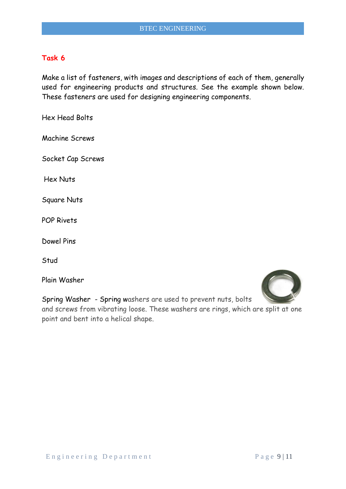Make a list of fasteners, with images and descriptions of each of them, generally used for engineering products and structures. See the example shown below. These fasteners are used for designing engineering components.

Hex Head Bolts

Machine Screws

Socket Cap Screws

Hex Nuts

Square Nuts

POP Rivets

Dowel Pins

Stud

Plain Washer

Spring Washer - Spring washers are used to prevent nuts, bolts and screws from vibrating loose. These washers are rings, which are split at one

point and bent into a helical shape.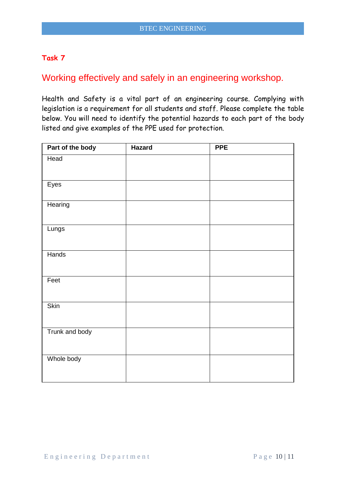# Working effectively and safely in an engineering workshop.

Health and Safety is a vital part of an engineering course. Complying with legislation is a requirement for all students and staff. Please complete the table below. You will need to identify the potential hazards to each part of the body listed and give examples of the PPE used for protection.

| Part of the body | <b>Hazard</b> | <b>PPE</b> |
|------------------|---------------|------------|
| Head             |               |            |
|                  |               |            |
| Eyes             |               |            |
| Hearing          |               |            |
| Lungs            |               |            |
| Hands            |               |            |
| Feet             |               |            |
| <b>Skin</b>      |               |            |
| Trunk and body   |               |            |
| Whole body       |               |            |